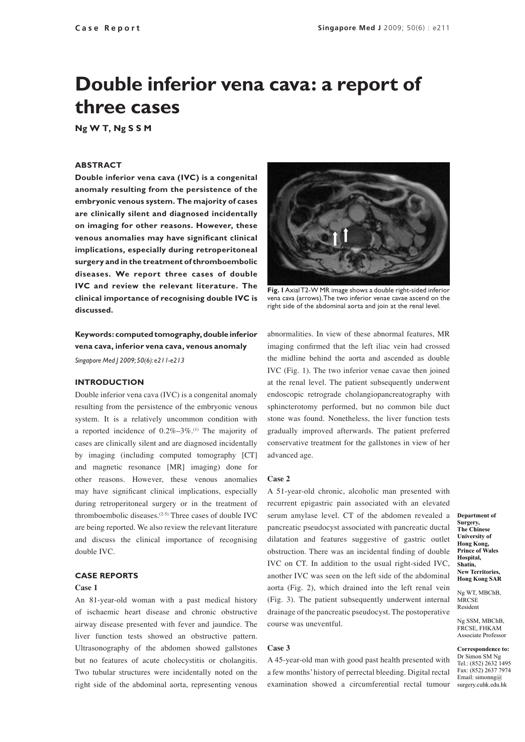# **Double inferior vena cava: a report of three cases**

**Ng W T, Ng S S M**

# **ABSTRACT**

**Double inferior vena cava (IVC) is a congenital anomaly resulting from the persistence of the embryonic venous system. The majority of cases are clinically silent and diagnosed incidentally on imaging for other reasons. However, these venous anomalies may have significant clinical implications, especially during retroperitoneal surgery and in the treatment of thromboembolic diseases. We report three cases of double IVC and review the relevant literature. The clinical importance of recognising double IVC is discussed.**

**Keywords: computed tomography, double inferior vena cava, inferior vena cava, venous anomaly**

*Singapore Med J 2009; 50(6): e211-e213*

# **INTRODUCTION**

Double inferior vena cava (IVC) is a congenital anomaly resulting from the persistence of the embryonic venous system. It is a relatively uncommon condition with a reported incidence of  $0.2\% - 3\%$ .<sup>(1)</sup> The majority of cases are clinically silent and are diagnosed incidentally by imaging (including computed tomography [CT] and magnetic resonance [MR] imaging) done for other reasons. However, these venous anomalies may have significant clinical implications, especially during retroperitoneal surgery or in the treatment of thromboembolic diseases.(2-5) Three cases of double IVC are being reported. We also review the relevant literature and discuss the clinical importance of recognising double IVC.

## **CASE REPORTS**

#### **Case 1**

An 81-year-old woman with a past medical history of ischaemic heart disease and chronic obstructive airway disease presented with fever and jaundice. The liver function tests showed an obstructive pattern. Ultrasonography of the abdomen showed gallstones but no features of acute cholecystitis or cholangitis. Two tubular structures were incidentally noted on the right side of the abdominal aorta, representing venous



**Fig. 1** Axial T2-W MR image shows a double right-sided inferior vena cava (arrows). The two inferior venae cavae ascend on the right side of the abdominal aorta and join at the renal level.

abnormalities. In view of these abnormal features, MR imaging confirmed that the left iliac vein had crossed the midline behind the aorta and ascended as double IVC (Fig. 1). The two inferior venae cavae then joined at the renal level. The patient subsequently underwent endoscopic retrograde cholangiopancreatography with sphincterotomy performed, but no common bile duct stone was found. Nonetheless, the liver function tests gradually improved afterwards. The patient preferred conservative treatment for the gallstones in view of her advanced age.

## **Case 2**

A 51-year-old chronic, alcoholic man presented with recurrent epigastric pain associated with an elevated serum amylase level. CT of the abdomen revealed a pancreatic pseudocyst associated with pancreatic ductal dilatation and features suggestive of gastric outlet obstruction. There was an incidental finding of double IVC on CT. In addition to the usual right-sided IVC, another IVC was seen on the left side of the abdominal aorta (Fig. 2), which drained into the left renal vein (Fig. 3). The patient subsequently underwent internal drainage of the pancreatic pseudocyst. The postoperative course was uneventful.

# **Case 3**

A 45-year-old man with good past health presented with a few months' history of perrectal bleeding. Digital rectal examination showed a circumferential rectal tumour

**Department of Surgery, The Chinese University of Hong Kong, Prince of Wales Hospital, Shatin, New Territories, Hong Kong SAR**

Ng WT, MBChB, **MRCSE** Resident

Ng SSM, MBChB, FRCSE, FHKAM Associate Professor

**Correspondence to:** Dr Simon SM Ng Tel.: (852) 2632 1495 Fax: (852) 2637 7974 Email: simonng@ surgery.cuhk.edu.hk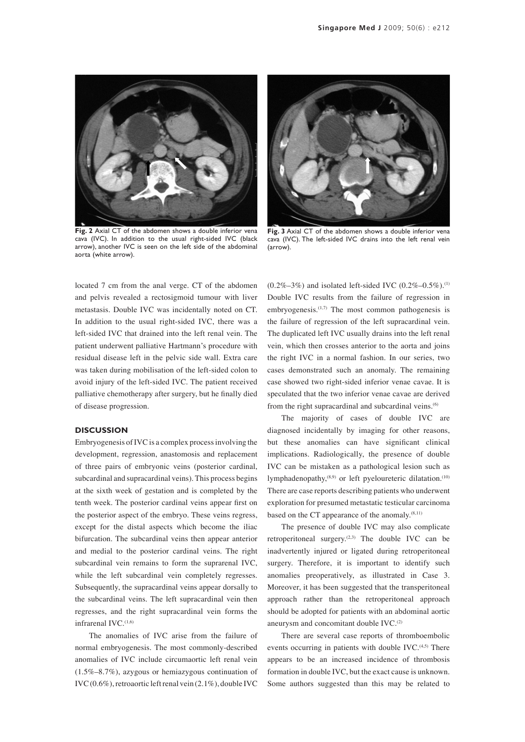

**Fig. 2** Axial CT of the abdomen shows a double inferior vena cava (IVC). In addition to the usual right-sided IVC (black arrow), another IVC is seen on the left side of the abdominal aorta (white arrow).



**Fig. 3** Axial CT of the abdomen shows a double inferior vena cava (IVC). The left-sided IVC drains into the left renal vein (arrow).

located 7 cm from the anal verge. CT of the abdomen and pelvis revealed a rectosigmoid tumour with liver metastasis. Double IVC was incidentally noted on CT. In addition to the usual right-sided IVC, there was a left-sided IVC that drained into the left renal vein. The patient underwent palliative Hartmann's procedure with residual disease left in the pelvic side wall. Extra care was taken during mobilisation of the left-sided colon to avoid injury of the left-sided IVC. The patient received palliative chemotherapy after surgery, but he finally died of disease progression.

## **DISCUSSION**

Embryogenesis of IVC is a complex process involving the development, regression, anastomosis and replacement of three pairs of embryonic veins (posterior cardinal, subcardinal and supracardinal veins). This process begins at the sixth week of gestation and is completed by the tenth week. The posterior cardinal veins appear first on the posterior aspect of the embryo. These veins regress, except for the distal aspects which become the iliac bifurcation. The subcardinal veins then appear anterior and medial to the posterior cardinal veins. The right subcardinal vein remains to form the suprarenal IVC, while the left subcardinal vein completely regresses. Subsequently, the supracardinal veins appear dorsally to the subcardinal veins. The left supracardinal vein then regresses, and the right supracardinal vein forms the infrarenal  $IVC$ .<sup> $(1,6)$ </sup>

The anomalies of IVC arise from the failure of normal embryogenesis. The most commonly-described anomalies of IVC include circumaortic left renal vein (1.5%–8.7%), azygous or hemiazygous continuation of IVC (0.6%), retroaortic left renal vein (2.1%), double IVC  $(0.2\% - 3\%)$  and isolated left-sided IVC  $(0.2\% - 0.5\%)$ .<sup>(1)</sup> Double IVC results from the failure of regression in embryogenesis. $(1,7)$  The most common pathogenesis is the failure of regression of the left supracardinal vein. The duplicated left IVC usually drains into the left renal vein, which then crosses anterior to the aorta and joins the right IVC in a normal fashion. In our series, two cases demonstrated such an anomaly. The remaining case showed two right-sided inferior venae cavae. It is speculated that the two inferior venae cavae are derived from the right supracardinal and subcardinal veins.<sup>(6)</sup>

The majority of cases of double IVC are diagnosed incidentally by imaging for other reasons, but these anomalies can have significant clinical implications. Radiologically, the presence of double IVC can be mistaken as a pathological lesion such as lymphadenopathy,<sup>(8,9)</sup> or left pyeloureteric dilatation.<sup>(10)</sup> There are case reports describing patients who underwent exploration for presumed metastatic testicular carcinoma based on the CT appearance of the anomaly. $(8,11)$ 

The presence of double IVC may also complicate retroperitoneal surgery.(2,3) The double IVC can be inadvertently injured or ligated during retroperitoneal surgery. Therefore, it is important to identify such anomalies preoperatively, as illustrated in Case 3. Moreover, it has been suggested that the transperitoneal approach rather than the retroperitoneal approach should be adopted for patients with an abdominal aortic aneurysm and concomitant double IVC.<sup>(2)</sup>

There are several case reports of thromboembolic events occurring in patients with double IVC.<sup>(4,5)</sup> There appears to be an increased incidence of thrombosis formation in double IVC, but the exact cause is unknown. Some authors suggested than this may be related to